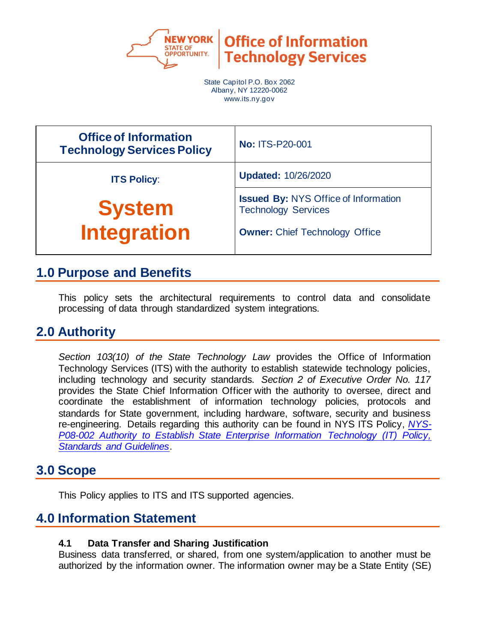

**Office of Information Technology Services** 

State Capitol P.O. Box 2062 Albany, NY 12220-0062 www.its.ny.gov

| <b>Office of Information</b><br><b>Technology Services Policy</b> | <b>No: ITS-P20-001</b>                                                    |  |
|-------------------------------------------------------------------|---------------------------------------------------------------------------|--|
| <b>ITS Policy:</b>                                                | <b>Updated: 10/26/2020</b>                                                |  |
| <b>System</b>                                                     | <b>Issued By: NYS Office of Information</b><br><b>Technology Services</b> |  |
| <b>Integration</b>                                                | <b>Owner: Chief Technology Office</b>                                     |  |

## **1.0 Purpose and Benefits**

This policy sets the architectural requirements to control data and consolidate processing of data through standardized system integrations.

# **2.0 Authority**

*Section 103(10) of the State Technology Law* provides the Office of Information Technology Services (ITS) with the authority to establish statewide technology policies, including technology and security standards. *Section 2 of Executive Order No. 117* provides the State Chief Information Officer with the authority to oversee, direct and coordinate the establishment of information technology policies, protocols and standards for State government, including hardware, software, security and business re-engineering. Details regarding this authority can be found in NYS ITS Policy, *[NYS-](https://its.ny.gov/document/authority-establish-state-enterprise-information-technology-it-policy-standards-and-guidelines)[P08-002 Authority to Establish State Enterprise Information Technology \(IT\) Policy,](https://its.ny.gov/document/authority-establish-state-enterprise-information-technology-it-policy-standards-and-guidelines)  [Standards and Guidelines](https://its.ny.gov/document/authority-establish-state-enterprise-information-technology-it-policy-standards-and-guidelines)*.

### **3.0 Scope**

This Policy applies to ITS and ITS supported agencies.

# **4.0 Information Statement**

#### **4.1 Data Transfer and Sharing Justification**

Business data transferred, or shared, from one system/application to another must be authorized by the information owner. The information owner may be a State Entity (SE)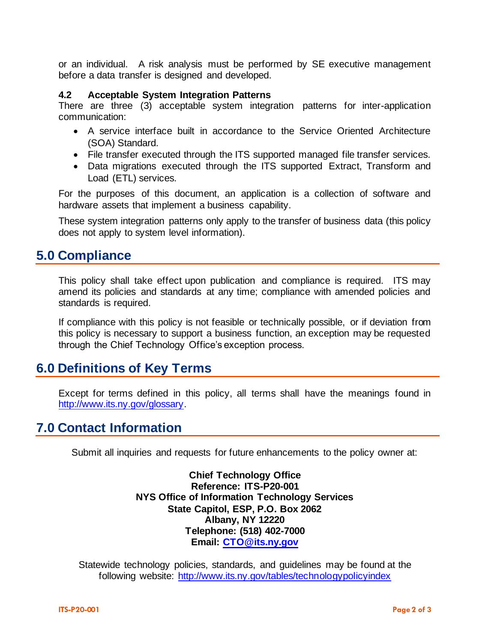or an individual. A risk analysis must be performed by SE executive management before a data transfer is designed and developed.

#### **4.2 Acceptable System Integration Patterns**

There are three (3) acceptable system integration patterns for inter-application communication:

- A service interface built in accordance to the Service Oriented Architecture (SOA) Standard.
- File transfer executed through the ITS supported managed file transfer services.
- Data migrations executed through the ITS supported Extract, Transform and Load (ETL) services.

For the purposes of this document, an application is a collection of software and hardware assets that implement a business capability.

These system integration patterns only apply to the transfer of business data (this policy does not apply to system level information).

### **5.0 Compliance**

This policy shall take effect upon publication and compliance is required. ITS may amend its policies and standards at any time; compliance with amended policies and standards is required.

If compliance with this policy is not feasible or technically possible, or if deviation from this policy is necessary to support a business function, an exception may be requested through the Chief Technology Office's exception process.

#### **6.0 Definitions of Key Terms**

Except for terms defined in this policy, all terms shall have the meanings found in [http://www.its.ny.gov/glossary.](http://www.its.ny.gov/glossary)

#### **7.0 Contact Information**

Submit all inquiries and requests for future enhancements to the policy owner at:

**Chief Technology Office Reference: ITS-P20-001 NYS Office of Information Technology Services State Capitol, ESP, P.O. Box 2062 Albany, NY 12220 Telephone: (518) 402-7000 Email: [CTO@its.ny.gov](mailto:CTO@its.ny.gov)**

Statewide technology policies, standards, and guidelines may be found at the following website: <http://www.its.ny.gov/tables/technologypolicyindex>